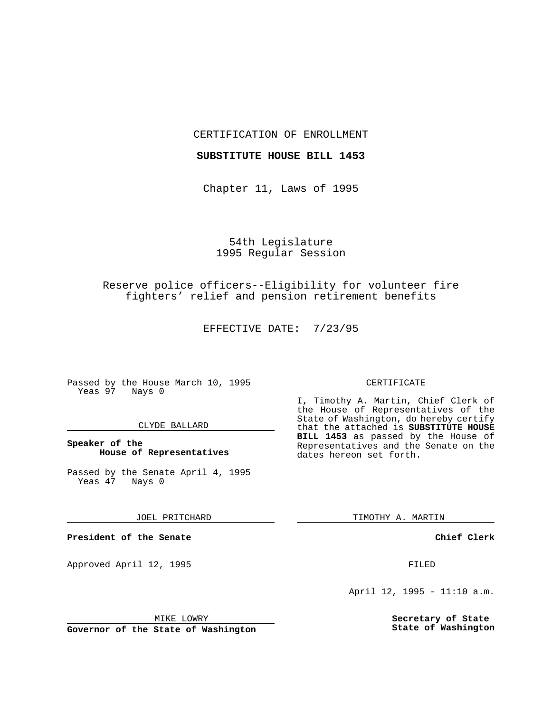CERTIFICATION OF ENROLLMENT

### **SUBSTITUTE HOUSE BILL 1453**

Chapter 11, Laws of 1995

# 54th Legislature 1995 Regular Session

# Reserve police officers--Eligibility for volunteer fire fighters' relief and pension retirement benefits

EFFECTIVE DATE: 7/23/95

Passed by the House March 10, 1995 Yeas 97 Nays 0

### CLYDE BALLARD

### **Speaker of the House of Representatives**

Passed by the Senate April 4, 1995<br>Yeas 47 Nays 0 Yeas 47

#### JOEL PRITCHARD

**President of the Senate**

Approved April 12, 1995 FILED

## CERTIFICATE

I, Timothy A. Martin, Chief Clerk of the House of Representatives of the State of Washington, do hereby certify that the attached is **SUBSTITUTE HOUSE BILL 1453** as passed by the House of Representatives and the Senate on the dates hereon set forth.

TIMOTHY A. MARTIN

**Chief Clerk**

April 12, 1995 - 11:10 a.m.

**Secretary of State State of Washington**

MIKE LOWRY

**Governor of the State of Washington**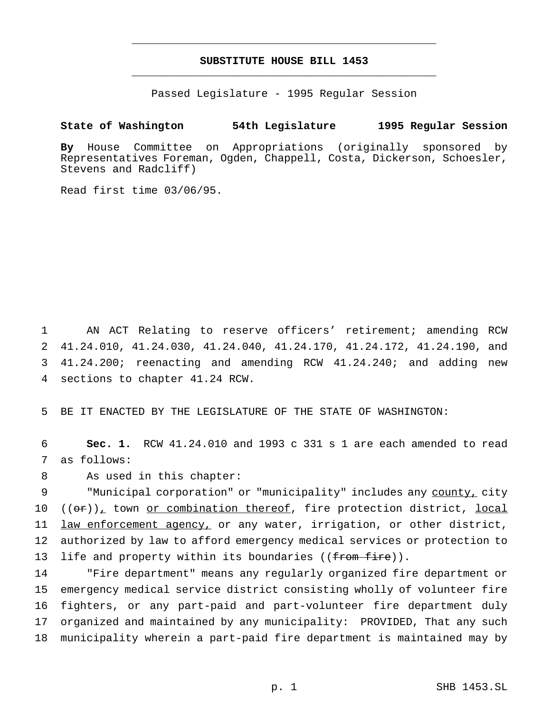# **SUBSTITUTE HOUSE BILL 1453** \_\_\_\_\_\_\_\_\_\_\_\_\_\_\_\_\_\_\_\_\_\_\_\_\_\_\_\_\_\_\_\_\_\_\_\_\_\_\_\_\_\_\_\_\_\_\_

\_\_\_\_\_\_\_\_\_\_\_\_\_\_\_\_\_\_\_\_\_\_\_\_\_\_\_\_\_\_\_\_\_\_\_\_\_\_\_\_\_\_\_\_\_\_\_

Passed Legislature - 1995 Regular Session

## **State of Washington 54th Legislature 1995 Regular Session**

**By** House Committee on Appropriations (originally sponsored by Representatives Foreman, Ogden, Chappell, Costa, Dickerson, Schoesler, Stevens and Radcliff)

Read first time 03/06/95.

 AN ACT Relating to reserve officers' retirement; amending RCW 41.24.010, 41.24.030, 41.24.040, 41.24.170, 41.24.172, 41.24.190, and 41.24.200; reenacting and amending RCW 41.24.240; and adding new sections to chapter 41.24 RCW.

5 BE IT ENACTED BY THE LEGISLATURE OF THE STATE OF WASHINGTON:

6 **Sec. 1.** RCW 41.24.010 and 1993 c 331 s 1 are each amended to read 7 as follows:

8 As used in this chapter:

9 "Municipal corporation" or "municipality" includes any county, city 10  $((\sigma \cdot r)_+$  town or combination thereof, fire protection district, local 11 law enforcement agency, or any water, irrigation, or other district, 12 authorized by law to afford emergency medical services or protection to 13 life and property within its boundaries ((from fire)).

 "Fire department" means any regularly organized fire department or emergency medical service district consisting wholly of volunteer fire fighters, or any part-paid and part-volunteer fire department duly organized and maintained by any municipality: PROVIDED, That any such municipality wherein a part-paid fire department is maintained may by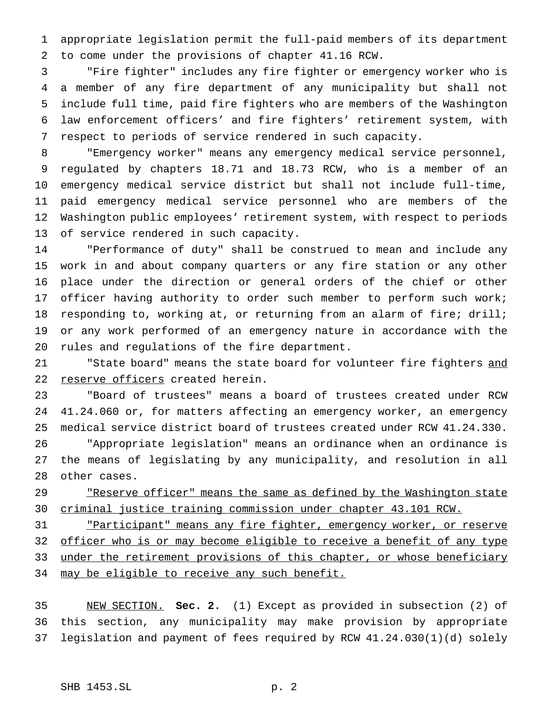appropriate legislation permit the full-paid members of its department to come under the provisions of chapter 41.16 RCW.

 "Fire fighter" includes any fire fighter or emergency worker who is a member of any fire department of any municipality but shall not include full time, paid fire fighters who are members of the Washington law enforcement officers' and fire fighters' retirement system, with respect to periods of service rendered in such capacity.

 "Emergency worker" means any emergency medical service personnel, regulated by chapters 18.71 and 18.73 RCW, who is a member of an emergency medical service district but shall not include full-time, paid emergency medical service personnel who are members of the Washington public employees' retirement system, with respect to periods of service rendered in such capacity.

 "Performance of duty" shall be construed to mean and include any work in and about company quarters or any fire station or any other place under the direction or general orders of the chief or other 17 officer having authority to order such member to perform such work; responding to, working at, or returning from an alarm of fire; drill; or any work performed of an emergency nature in accordance with the rules and regulations of the fire department.

21 The State board" means the state board for volunteer fire fighters and 22 reserve officers created herein.

 "Board of trustees" means a board of trustees created under RCW 41.24.060 or, for matters affecting an emergency worker, an emergency medical service district board of trustees created under RCW 41.24.330.

 "Appropriate legislation" means an ordinance when an ordinance is the means of legislating by any municipality, and resolution in all other cases.

29 The The The Same as defined by the Washington state criminal justice training commission under chapter 43.101 RCW.

31 Tharticipant" means any fire fighter, emergency worker, or reserve 32 officer who is or may become eligible to receive a benefit of any type 33 under the retirement provisions of this chapter, or whose beneficiary 34 may be eligible to receive any such benefit.

 NEW SECTION. **Sec. 2.** (1) Except as provided in subsection (2) of this section, any municipality may make provision by appropriate legislation and payment of fees required by RCW 41.24.030(1)(d) solely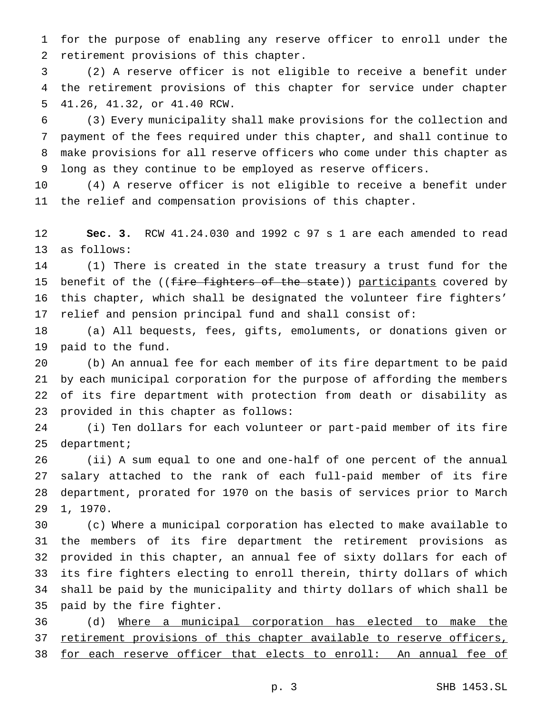for the purpose of enabling any reserve officer to enroll under the retirement provisions of this chapter.

 (2) A reserve officer is not eligible to receive a benefit under the retirement provisions of this chapter for service under chapter 41.26, 41.32, or 41.40 RCW.

 (3) Every municipality shall make provisions for the collection and payment of the fees required under this chapter, and shall continue to make provisions for all reserve officers who come under this chapter as long as they continue to be employed as reserve officers.

 (4) A reserve officer is not eligible to receive a benefit under the relief and compensation provisions of this chapter.

 **Sec. 3.** RCW 41.24.030 and 1992 c 97 s 1 are each amended to read as follows:

 (1) There is created in the state treasury a trust fund for the 15 benefit of the ((fire fighters of the state)) participants covered by this chapter, which shall be designated the volunteer fire fighters' relief and pension principal fund and shall consist of:

 (a) All bequests, fees, gifts, emoluments, or donations given or paid to the fund.

 (b) An annual fee for each member of its fire department to be paid by each municipal corporation for the purpose of affording the members of its fire department with protection from death or disability as provided in this chapter as follows:

 (i) Ten dollars for each volunteer or part-paid member of its fire department;

 (ii) A sum equal to one and one-half of one percent of the annual salary attached to the rank of each full-paid member of its fire department, prorated for 1970 on the basis of services prior to March 1, 1970.

 (c) Where a municipal corporation has elected to make available to the members of its fire department the retirement provisions as provided in this chapter, an annual fee of sixty dollars for each of its fire fighters electing to enroll therein, thirty dollars of which shall be paid by the municipality and thirty dollars of which shall be paid by the fire fighter.

 (d) Where a municipal corporation has elected to make the 37 retirement provisions of this chapter available to reserve officers, for each reserve officer that elects to enroll: An annual fee of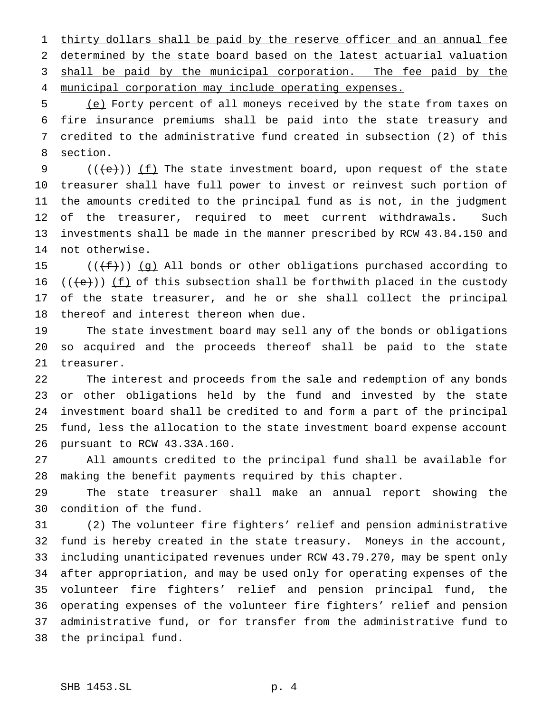1 thirty dollars shall be paid by the reserve officer and an annual fee determined by the state board based on the latest actuarial valuation 3 shall be paid by the municipal corporation. The fee paid by the

municipal corporation may include operating expenses.

 (e) Forty percent of all moneys received by the state from taxes on fire insurance premiums shall be paid into the state treasury and credited to the administrative fund created in subsection (2) of this section.

 $((\text{+e}))(\underline{\text{f}})$  The state investment board, upon request of the state treasurer shall have full power to invest or reinvest such portion of the amounts credited to the principal fund as is not, in the judgment of the treasurer, required to meet current withdrawals. Such investments shall be made in the manner prescribed by RCW 43.84.150 and not otherwise.

 $((\text{f}+\text{f}))$  (g) All bonds or other obligations purchased according to  $((e))$  (f) of this subsection shall be forthwith placed in the custody of the state treasurer, and he or she shall collect the principal thereof and interest thereon when due.

 The state investment board may sell any of the bonds or obligations so acquired and the proceeds thereof shall be paid to the state treasurer.

 The interest and proceeds from the sale and redemption of any bonds or other obligations held by the fund and invested by the state investment board shall be credited to and form a part of the principal fund, less the allocation to the state investment board expense account pursuant to RCW 43.33A.160.

 All amounts credited to the principal fund shall be available for making the benefit payments required by this chapter.

 The state treasurer shall make an annual report showing the condition of the fund.

 (2) The volunteer fire fighters' relief and pension administrative fund is hereby created in the state treasury. Moneys in the account, including unanticipated revenues under RCW 43.79.270, may be spent only after appropriation, and may be used only for operating expenses of the volunteer fire fighters' relief and pension principal fund, the operating expenses of the volunteer fire fighters' relief and pension administrative fund, or for transfer from the administrative fund to the principal fund.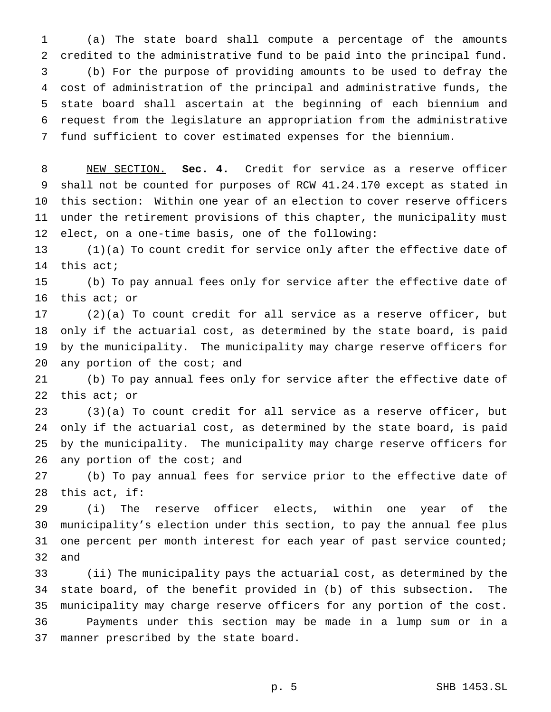(a) The state board shall compute a percentage of the amounts credited to the administrative fund to be paid into the principal fund. (b) For the purpose of providing amounts to be used to defray the cost of administration of the principal and administrative funds, the state board shall ascertain at the beginning of each biennium and request from the legislature an appropriation from the administrative fund sufficient to cover estimated expenses for the biennium.

 NEW SECTION. **Sec. 4.** Credit for service as a reserve officer shall not be counted for purposes of RCW 41.24.170 except as stated in this section: Within one year of an election to cover reserve officers under the retirement provisions of this chapter, the municipality must elect, on a one-time basis, one of the following:

 (1)(a) To count credit for service only after the effective date of this act;

 (b) To pay annual fees only for service after the effective date of this act; or

 (2)(a) To count credit for all service as a reserve officer, but only if the actuarial cost, as determined by the state board, is paid by the municipality. The municipality may charge reserve officers for 20 any portion of the cost; and

 (b) To pay annual fees only for service after the effective date of this act; or

 (3)(a) To count credit for all service as a reserve officer, but only if the actuarial cost, as determined by the state board, is paid by the municipality. The municipality may charge reserve officers for 26 any portion of the cost; and

 (b) To pay annual fees for service prior to the effective date of this act, if:

 (i) The reserve officer elects, within one year of the municipality's election under this section, to pay the annual fee plus 31 one percent per month interest for each year of past service counted; and

 (ii) The municipality pays the actuarial cost, as determined by the state board, of the benefit provided in (b) of this subsection. The municipality may charge reserve officers for any portion of the cost. Payments under this section may be made in a lump sum or in a manner prescribed by the state board.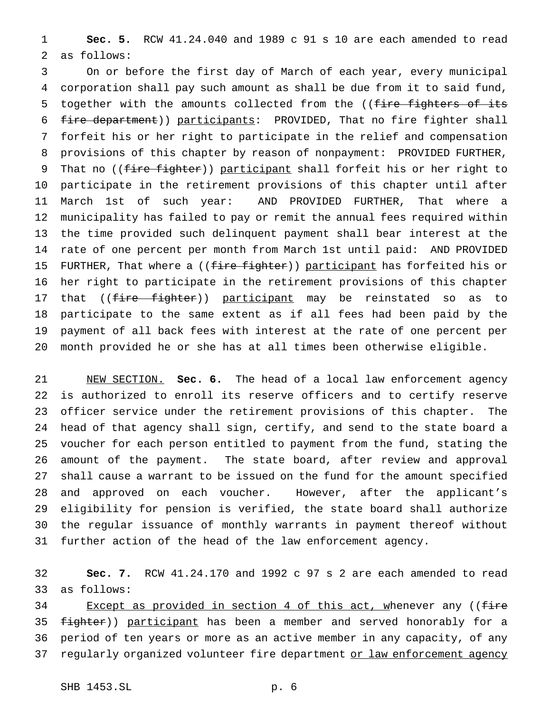**Sec. 5.** RCW 41.24.040 and 1989 c 91 s 10 are each amended to read as follows:

 On or before the first day of March of each year, every municipal corporation shall pay such amount as shall be due from it to said fund, 5 together with the amounts collected from the ((fire fighters of its fire department)) participants: PROVIDED, That no fire fighter shall forfeit his or her right to participate in the relief and compensation provisions of this chapter by reason of nonpayment: PROVIDED FURTHER, 9 That no ((fire fighter)) participant shall forfeit his or her right to participate in the retirement provisions of this chapter until after March 1st of such year: AND PROVIDED FURTHER, That where a municipality has failed to pay or remit the annual fees required within the time provided such delinquent payment shall bear interest at the rate of one percent per month from March 1st until paid: AND PROVIDED 15 FURTHER, That where a ((fire fighter)) participant has forfeited his or her right to participate in the retirement provisions of this chapter 17 that ((<del>fire fighter</del>)) <u>participant</u> may be reinstated so as to participate to the same extent as if all fees had been paid by the payment of all back fees with interest at the rate of one percent per month provided he or she has at all times been otherwise eligible.

 NEW SECTION. **Sec. 6.** The head of a local law enforcement agency is authorized to enroll its reserve officers and to certify reserve officer service under the retirement provisions of this chapter. The head of that agency shall sign, certify, and send to the state board a voucher for each person entitled to payment from the fund, stating the amount of the payment. The state board, after review and approval shall cause a warrant to be issued on the fund for the amount specified and approved on each voucher. However, after the applicant's eligibility for pension is verified, the state board shall authorize the regular issuance of monthly warrants in payment thereof without further action of the head of the law enforcement agency.

 **Sec. 7.** RCW 41.24.170 and 1992 c 97 s 2 are each amended to read as follows:

34 Except as provided in section 4 of this act, whenever any ((fire 35 fighter)) participant has been a member and served honorably for a period of ten years or more as an active member in any capacity, of any 37 regularly organized volunteer fire department or law enforcement agency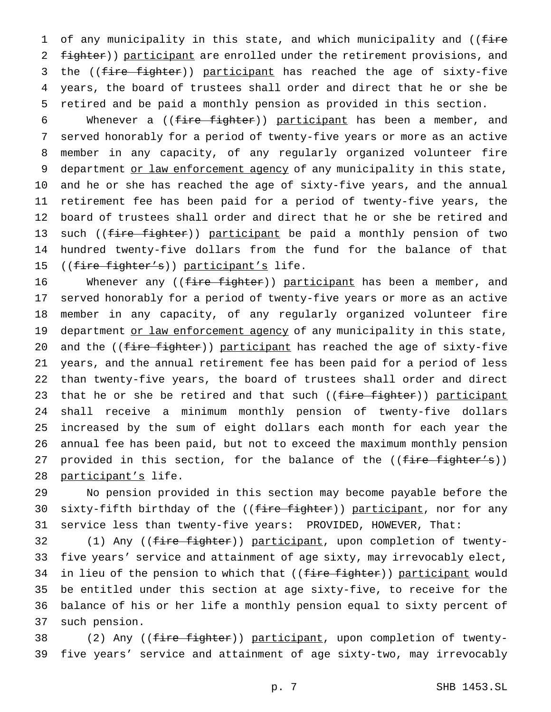1 of any municipality in this state, and which municipality and ((fire 2 fighter)) participant are enrolled under the retirement provisions, and 3 the ((fire fighter)) participant has reached the age of sixty-five 4 years, the board of trustees shall order and direct that he or she be 5 retired and be paid a monthly pension as provided in this section.

6 Whenever a ((fire fighter)) participant has been a member, and 7 served honorably for a period of twenty-five years or more as an active 8 member in any capacity, of any regularly organized volunteer fire 9 department or law enforcement agency of any municipality in this state, 10 and he or she has reached the age of sixty-five years, and the annual 11 retirement fee has been paid for a period of twenty-five years, the 12 board of trustees shall order and direct that he or she be retired and 13 such ((fire fighter)) participant be paid a monthly pension of two 14 hundred twenty-five dollars from the fund for the balance of that 15 ((fire fighter's)) participant's life.

16 Whenever any ((fire fighter)) participant has been a member, and 17 served honorably for a period of twenty-five years or more as an active 18 member in any capacity, of any regularly organized volunteer fire 19 department or law enforcement agency of any municipality in this state, 20 and the ((fire fighter)) participant has reached the age of sixty-five 21 years, and the annual retirement fee has been paid for a period of less 22 than twenty-five years, the board of trustees shall order and direct 23 that he or she be retired and that such ((fire fighter)) participant 24 shall receive a minimum monthly pension of twenty-five dollars 25 increased by the sum of eight dollars each month for each year the 26 annual fee has been paid, but not to exceed the maximum monthly pension 27 provided in this section, for the balance of the  $((fire-fighter's))$ 28 participant's life.

29 No pension provided in this section may become payable before the 30 sixty-fifth birthday of the ((fire fighter)) participant, nor for any 31 service less than twenty-five years: PROVIDED, HOWEVER, That:

32 (1) Any ((fire fighter)) participant, upon completion of twenty- five years' service and attainment of age sixty, may irrevocably elect, 34 in lieu of the pension to which that ((fire fighter)) participant would be entitled under this section at age sixty-five, to receive for the balance of his or her life a monthly pension equal to sixty percent of such pension.

38 (2) Any ((fire fighter)) participant, upon completion of twenty-39 five years' service and attainment of age sixty-two, may irrevocably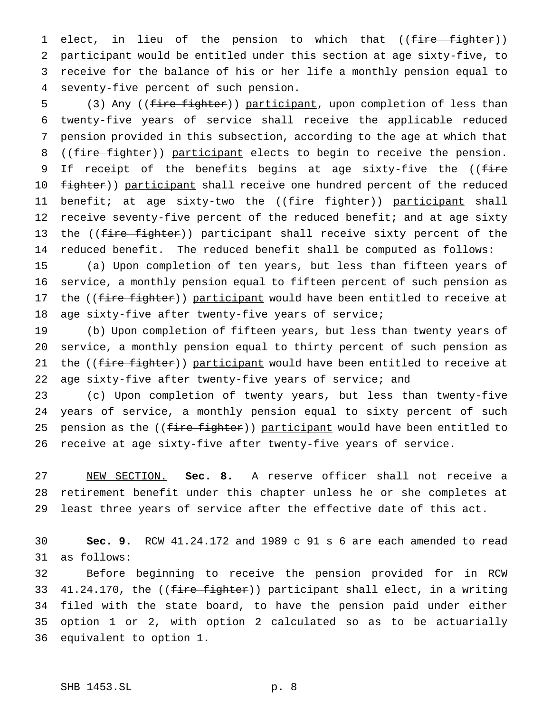1 elect, in lieu of the pension to which that ((fire fighter)) participant would be entitled under this section at age sixty-five, to receive for the balance of his or her life a monthly pension equal to seventy-five percent of such pension.

5 (3) Any ((fire fighter)) participant, upon completion of less than twenty-five years of service shall receive the applicable reduced pension provided in this subsection, according to the age at which that 8 ((fire fighter)) participant elects to begin to receive the pension. 9 If receipt of the benefits begins at age sixty-five the ((fire 10 fighter)) participant shall receive one hundred percent of the reduced 11 benefit; at age sixty-two the ((<del>fire fighter</del>)) <u>participant</u> shall 12 receive seventy-five percent of the reduced benefit; and at age sixty 13 the ((fire fighter)) participant shall receive sixty percent of the reduced benefit. The reduced benefit shall be computed as follows:

 (a) Upon completion of ten years, but less than fifteen years of service, a monthly pension equal to fifteen percent of such pension as 17 the ((fire fighter)) participant would have been entitled to receive at age sixty-five after twenty-five years of service;

 (b) Upon completion of fifteen years, but less than twenty years of service, a monthly pension equal to thirty percent of such pension as 21 the ((fire fighter)) participant would have been entitled to receive at age sixty-five after twenty-five years of service; and

 (c) Upon completion of twenty years, but less than twenty-five years of service, a monthly pension equal to sixty percent of such 25 pension as the ((fire fighter)) participant would have been entitled to receive at age sixty-five after twenty-five years of service.

 NEW SECTION. **Sec. 8.** A reserve officer shall not receive a retirement benefit under this chapter unless he or she completes at least three years of service after the effective date of this act.

 **Sec. 9.** RCW 41.24.172 and 1989 c 91 s 6 are each amended to read as follows:

 Before beginning to receive the pension provided for in RCW 33 41.24.170, the ((fire fighter)) participant shall elect, in a writing filed with the state board, to have the pension paid under either option 1 or 2, with option 2 calculated so as to be actuarially equivalent to option 1.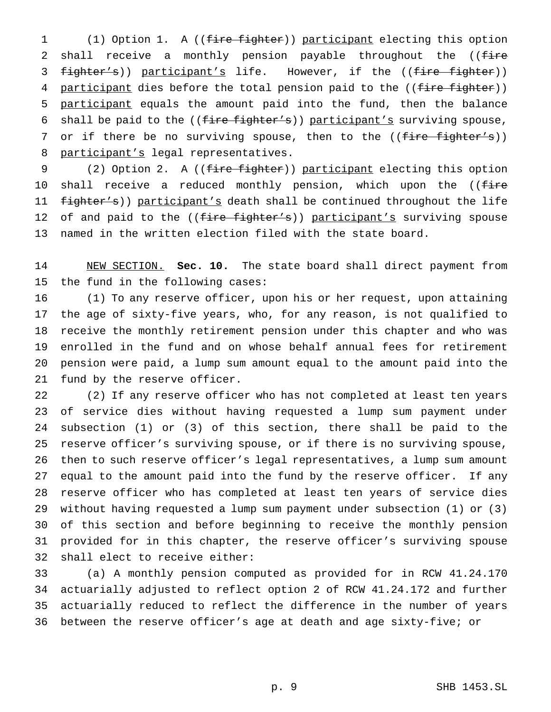(1) Option 1. A ((fire fighter)) participant electing this option 2 shall receive a monthly pension payable throughout the ((fire 3 fighter's)) participant's life. However, if the ((fire fighter)) 4 participant dies before the total pension paid to the ((fire fighter)) participant equals the amount paid into the fund, then the balance 6 shall be paid to the  $((fire fighter's))$  participant's surviving spouse, 7 or if there be no surviving spouse, then to the ((fire fighter's)) 8 participant's legal representatives.

9 (2) Option 2. A ((fire fighter)) participant electing this option 10 shall receive a reduced monthly pension, which upon the ((fire 11 fighter's)) participant's death shall be continued throughout the life 12 of and paid to the ((fire fighter's)) participant's surviving spouse named in the written election filed with the state board.

 NEW SECTION. **Sec. 10.** The state board shall direct payment from the fund in the following cases:

 (1) To any reserve officer, upon his or her request, upon attaining the age of sixty-five years, who, for any reason, is not qualified to receive the monthly retirement pension under this chapter and who was enrolled in the fund and on whose behalf annual fees for retirement pension were paid, a lump sum amount equal to the amount paid into the fund by the reserve officer.

 (2) If any reserve officer who has not completed at least ten years of service dies without having requested a lump sum payment under subsection (1) or (3) of this section, there shall be paid to the reserve officer's surviving spouse, or if there is no surviving spouse, then to such reserve officer's legal representatives, a lump sum amount equal to the amount paid into the fund by the reserve officer. If any reserve officer who has completed at least ten years of service dies without having requested a lump sum payment under subsection (1) or (3) of this section and before beginning to receive the monthly pension provided for in this chapter, the reserve officer's surviving spouse shall elect to receive either:

 (a) A monthly pension computed as provided for in RCW 41.24.170 actuarially adjusted to reflect option 2 of RCW 41.24.172 and further actuarially reduced to reflect the difference in the number of years between the reserve officer's age at death and age sixty-five; or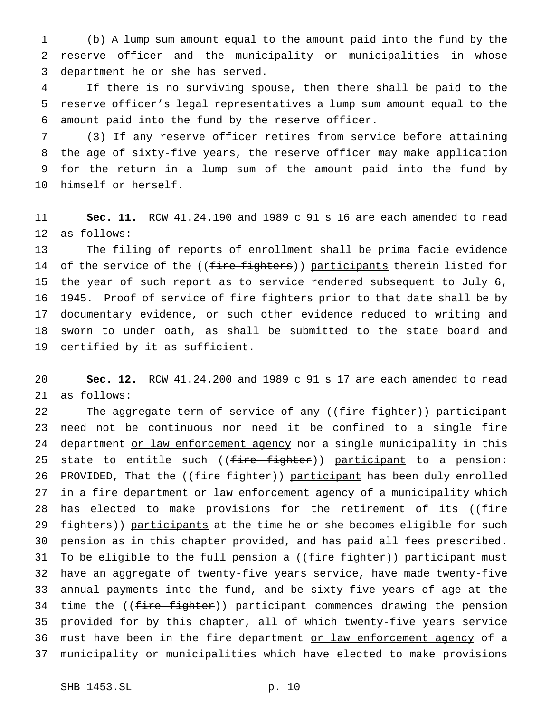(b) A lump sum amount equal to the amount paid into the fund by the reserve officer and the municipality or municipalities in whose department he or she has served.

 If there is no surviving spouse, then there shall be paid to the reserve officer's legal representatives a lump sum amount equal to the amount paid into the fund by the reserve officer.

 (3) If any reserve officer retires from service before attaining the age of sixty-five years, the reserve officer may make application for the return in a lump sum of the amount paid into the fund by himself or herself.

 **Sec. 11.** RCW 41.24.190 and 1989 c 91 s 16 are each amended to read as follows:

 The filing of reports of enrollment shall be prima facie evidence 14 of the service of the ((fire fighters)) participants therein listed for the year of such report as to service rendered subsequent to July 6, 1945. Proof of service of fire fighters prior to that date shall be by documentary evidence, or such other evidence reduced to writing and sworn to under oath, as shall be submitted to the state board and certified by it as sufficient.

 **Sec. 12.** RCW 41.24.200 and 1989 c 91 s 17 are each amended to read as follows:

22 The aggregate term of service of any ((fire fighter)) participant need not be continuous nor need it be confined to a single fire 24 department or law enforcement agency nor a single municipality in this 25 state to entitle such ((fire fighter)) participant to a pension: 26 PROVIDED, That the ((fire fighter)) participant has been duly enrolled 27 in a fire department or law enforcement agency of a municipality which 28 has elected to make provisions for the retirement of its ((fire 29 fighters)) participants at the time he or she becomes eligible for such pension as in this chapter provided, and has paid all fees prescribed. 31 To be eligible to the full pension a ((fire fighter)) participant must have an aggregate of twenty-five years service, have made twenty-five annual payments into the fund, and be sixty-five years of age at the 34 time the ((fire fighter)) participant commences drawing the pension provided for by this chapter, all of which twenty-five years service 36 must have been in the fire department or law enforcement agency of a municipality or municipalities which have elected to make provisions